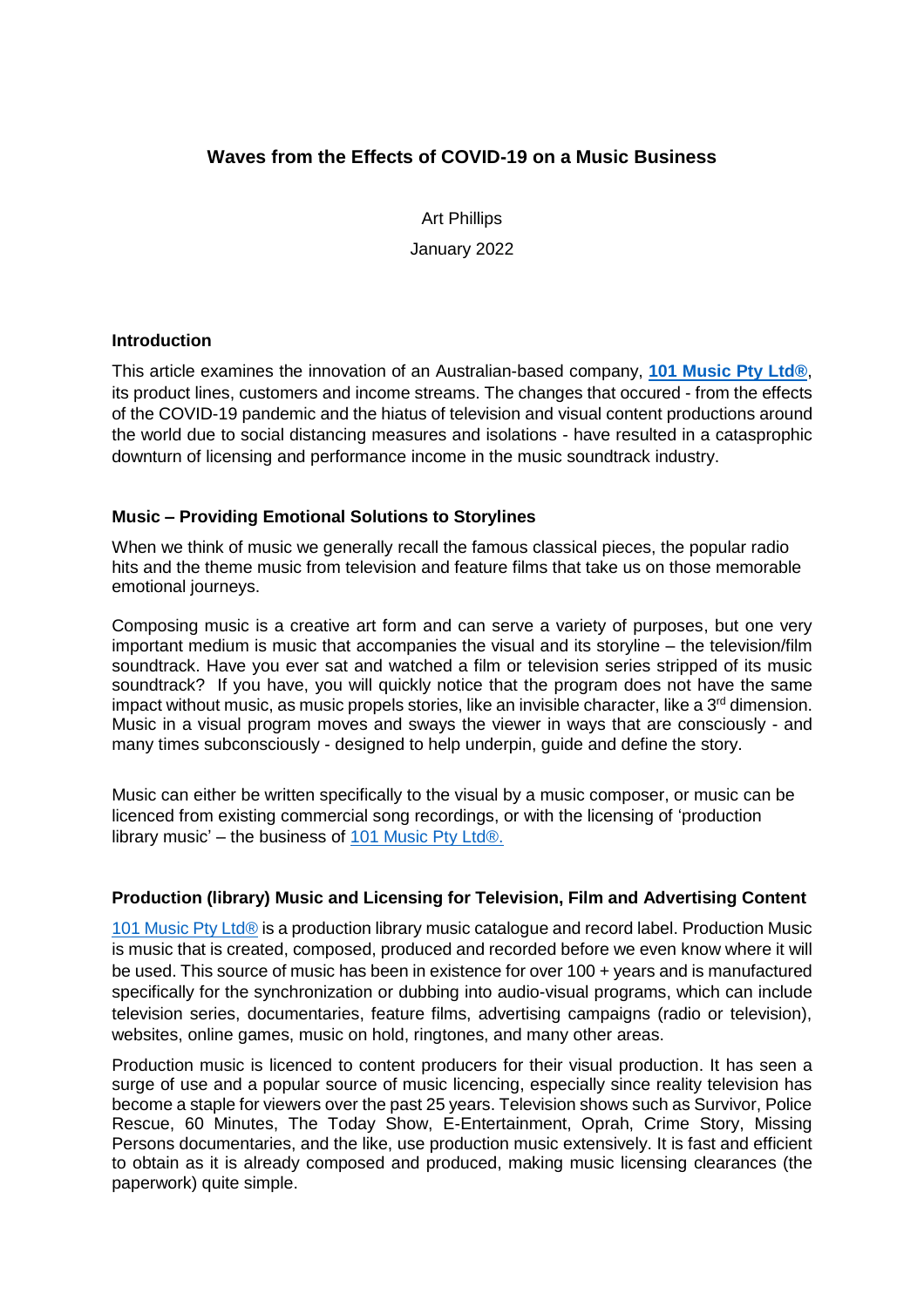# **Waves from the Effects of COVID-19 on a Music Business**

Art Phillips January 2022

#### **Introduction**

This article examines the innovation of an Australian-based company, **[101 Music Pty Ltd®](http://www.101.audio/)**, its product lines, customers and income streams. The changes that occured - from the effects of the COVID-19 pandemic and the hiatus of television and visual content productions around the world due to social distancing measures and isolations - have resulted in a catasprophic downturn of licensing and performance income in the music soundtrack industry.

## **Music – Providing Emotional Solutions to Storylines**

When we think of music we generally recall the famous classical pieces, the popular radio hits and the theme music from television and feature films that take us on those memorable emotional journeys.

Composing music is a creative art form and can serve a variety of purposes, but one very important medium is music that accompanies the visual and its storyline – the television/film soundtrack. Have you ever sat and watched a film or television series stripped of its music soundtrack? If you have, you will quickly notice that the program does not have the same impact without music, as music propels stories, like an invisible character, like a  $3<sup>rd</sup>$  dimension. Music in a visual program moves and sways the viewer in ways that are consciously - and many times subconsciously - designed to help underpin, guide and define the story.

Music can either be written specifically to the visual by a music composer, or music can be licenced from existing commercial song recordings, or with the licensing of 'production library music' – the business of  $101$  Music Pty Ltd®.

#### **Production (library) Music and Licensing for Television, Film and Advertising Content**

[101 Music Pty Ltd®](http://www.101.audio/) is a production library music catalogue and record label. Production Music is music that is created, composed, produced and recorded before we even know where it will be used. This source of music has been in existence for over 100 + years and is manufactured specifically for the synchronization or dubbing into audio-visual programs, which can include television series, documentaries, feature films, advertising campaigns (radio or television), websites, online games, music on hold, ringtones, and many other areas.

Production music is licenced to content producers for their visual production. It has seen a surge of use and a popular source of music licencing, especially since reality television has become a staple for viewers over the past 25 years. Television shows such as Survivor, Police Rescue, 60 Minutes, The Today Show, E-Entertainment, Oprah, Crime Story, Missing Persons documentaries, and the like, use production music extensively. It is fast and efficient to obtain as it is already composed and produced, making music licensing clearances (the paperwork) quite simple.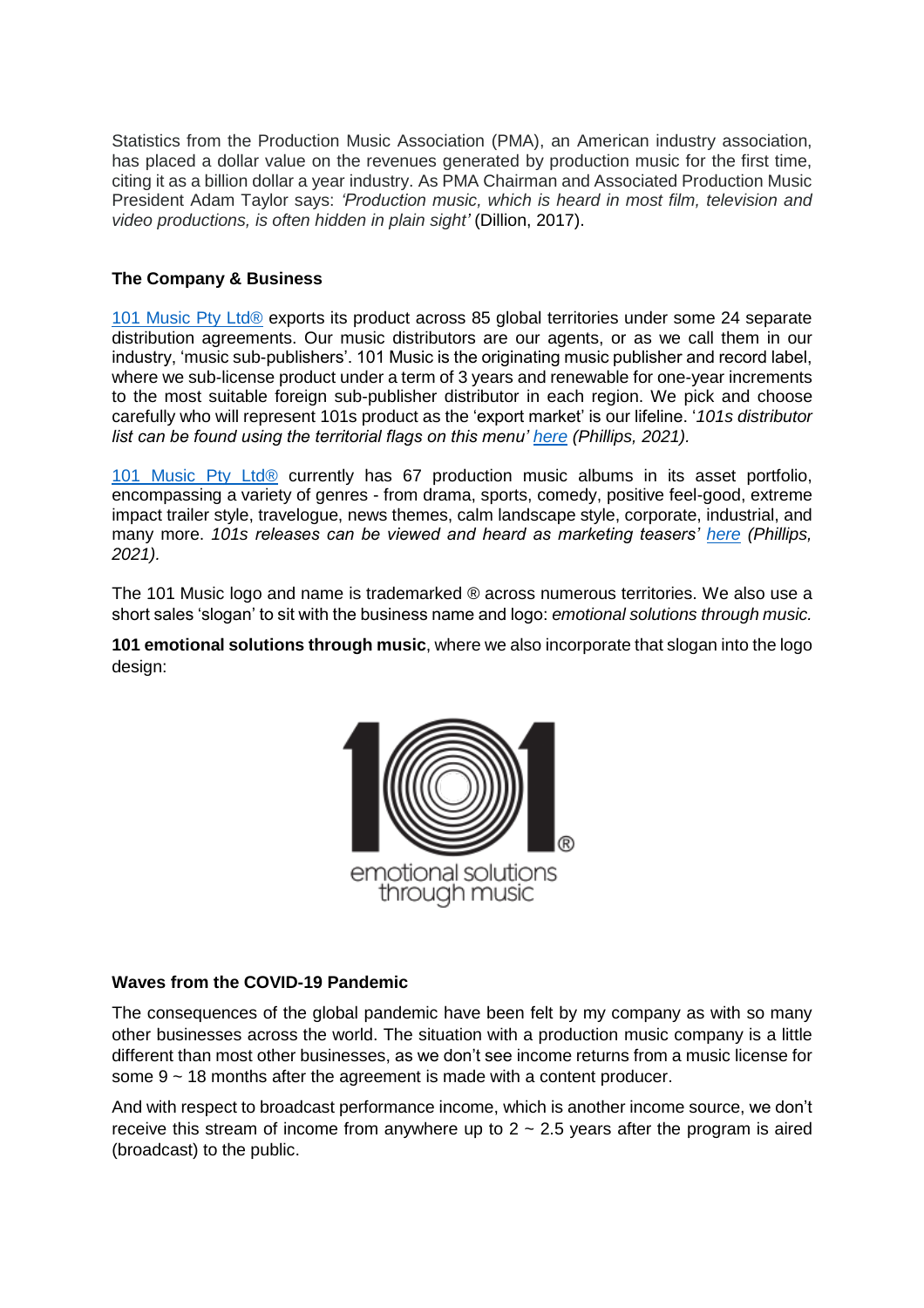Statistics from the Production Music Association (PMA), an American industry association, has placed a dollar value on the revenues generated by production music for the first time, citing it as a billion dollar a year industry. As PMA Chairman and Associated Production Music President Adam Taylor says: *'Production music, which is heard in most film, television and video productions, is often hidden in plain sight'* (Dillion, 2017).

## **The Company & Business**

[101 Music Pty Ltd®](http://www.101.audio/) exports its product across 85 global territories under some 24 separate distribution agreements. Our music distributors are our agents, or as we call them in our industry, 'music sub-publishers'. 101 Music is the originating music publisher and record label, where we sub-license product under a term of 3 years and renewable for one-year increments to the most suitable foreign sub-publisher distributor in each region. We pick and choose carefully who will represent 101s product as the 'export market' is our lifeline. '*101s distributor list can be found using the territorial flags on this menu' [here](https://101.audio/distributors/) (Phillips, 2021).*

[101 Music Pty Ltd®](http://www.101.audio/) currently has 67 production music albums in its asset portfolio, encompassing a variety of genres - from drama, sports, comedy, positive feel-good, extreme impact trailer style, travelogue, news themes, calm landscape style, corporate, industrial, and many more. *101s releases can be viewed and heard as marketing teasers' [here](https://101.audio/releases/) (Phillips, 2021).*

The 101 Music logo and name is trademarked ® across numerous territories. We also use a short sales 'slogan' to sit with the business name and logo: *emotional solutions through music.* 

**101 emotional solutions through music**, where we also incorporate that slogan into the logo design:



# **Waves from the COVID-19 Pandemic**

The consequences of the global pandemic have been felt by my company as with so many other businesses across the world. The situation with a production music company is a little different than most other businesses, as we don't see income returns from a music license for some 9 ~ 18 months after the agreement is made with a content producer.

And with respect to broadcast performance income, which is another income source, we don't receive this stream of income from anywhere up to  $2 \sim 2.5$  years after the program is aired (broadcast) to the public.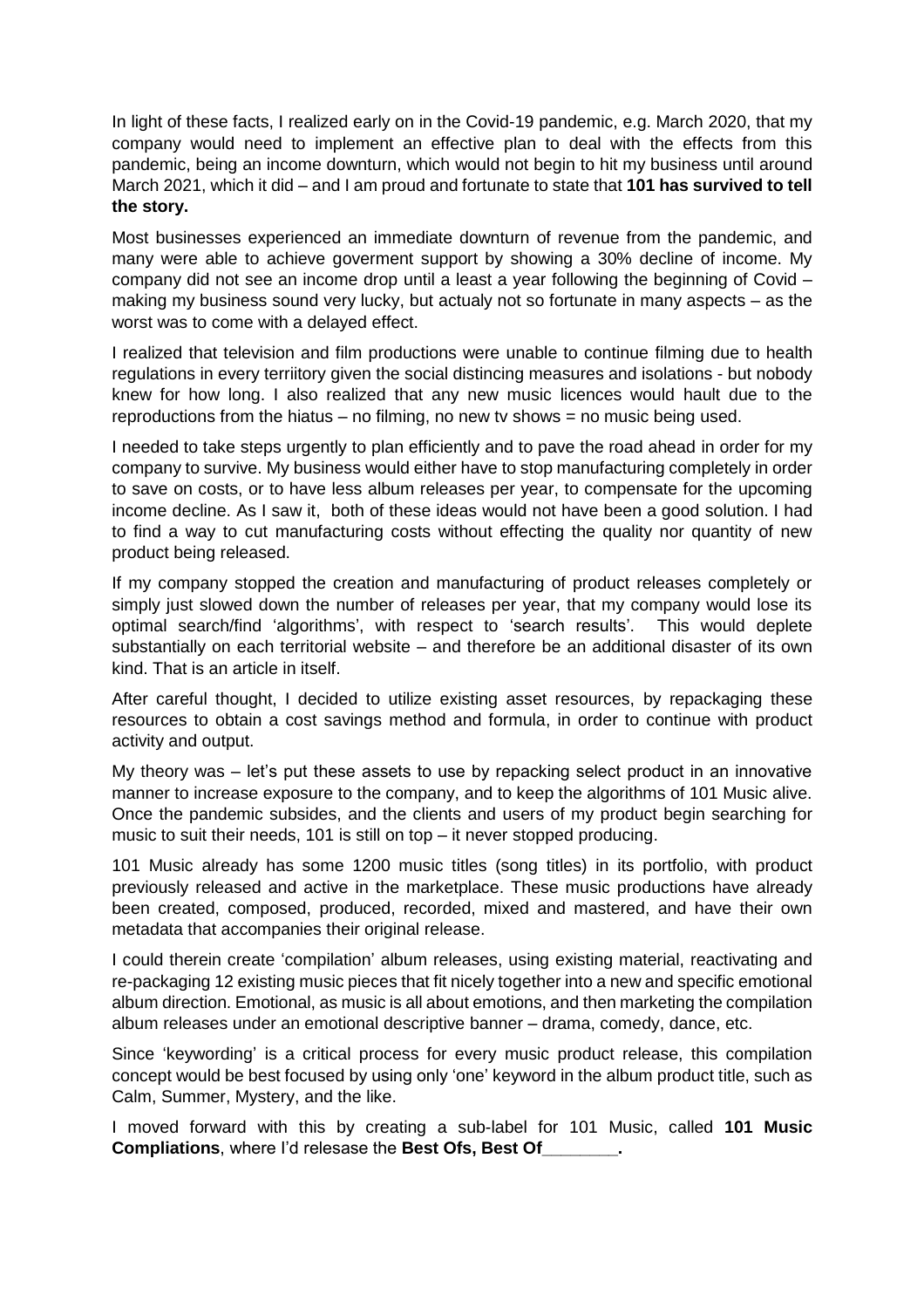In light of these facts, I realized early on in the Covid-19 pandemic, e.g. March 2020, that my company would need to implement an effective plan to deal with the effects from this pandemic, being an income downturn, which would not begin to hit my business until around March 2021, which it did – and I am proud and fortunate to state that **101 has survived to tell the story.**

Most businesses experienced an immediate downturn of revenue from the pandemic, and many were able to achieve goverment support by showing a 30% decline of income. My company did not see an income drop until a least a year following the beginning of Covid – making my business sound very lucky, but actualy not so fortunate in many aspects – as the worst was to come with a delayed effect.

I realized that television and film productions were unable to continue filming due to health regulations in every terriitory given the social distincing measures and isolations - but nobody knew for how long. I also realized that any new music licences would hault due to the reproductions from the hiatus – no filming, no new tv shows = no music being used.

I needed to take steps urgently to plan efficiently and to pave the road ahead in order for my company to survive. My business would either have to stop manufacturing completely in order to save on costs, or to have less album releases per year, to compensate for the upcoming income decline. As I saw it, both of these ideas would not have been a good solution. I had to find a way to cut manufacturing costs without effecting the quality nor quantity of new product being released.

If my company stopped the creation and manufacturing of product releases completely or simply just slowed down the number of releases per year, that my company would lose its optimal search/find 'algorithms', with respect to 'search results'. This would deplete substantially on each territorial website – and therefore be an additional disaster of its own kind. That is an article in itself.

After careful thought, I decided to utilize existing asset resources, by repackaging these resources to obtain a cost savings method and formula, in order to continue with product activity and output.

My theory was – let's put these assets to use by repacking select product in an innovative manner to increase exposure to the company, and to keep the algorithms of 101 Music alive. Once the pandemic subsides, and the clients and users of my product begin searching for music to suit their needs, 101 is still on top – it never stopped producing.

101 Music already has some 1200 music titles (song titles) in its portfolio, with product previously released and active in the marketplace. These music productions have already been created, composed, produced, recorded, mixed and mastered, and have their own metadata that accompanies their original release.

I could therein create 'compilation' album releases, using existing material, reactivating and re-packaging 12 existing music pieces that fit nicely together into a new and specific emotional album direction. Emotional, as music is all about emotions, and then marketing the compilation album releases under an emotional descriptive banner – drama, comedy, dance, etc.

Since 'keywording' is a critical process for every music product release, this compilation concept would be best focused by using only 'one' keyword in the album product title, such as Calm, Summer, Mystery, and the like.

I moved forward with this by creating a sub-label for 101 Music, called **101 Music Compliations**, where I'd relesase the **Best Ofs, Best Of\_\_\_\_\_\_\_\_.**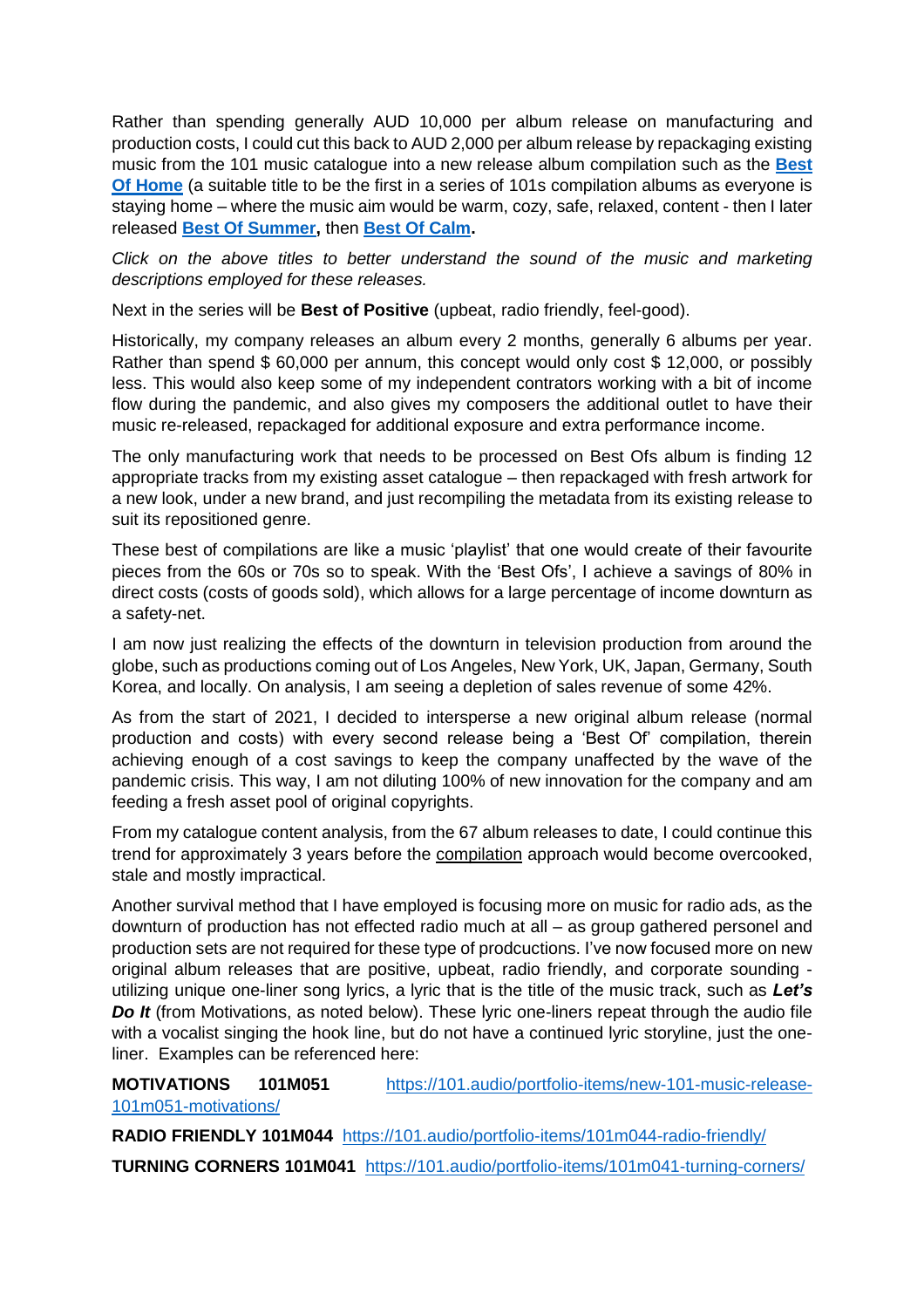Rather than spending generally AUD 10,000 per album release on manufacturing and production costs, I could cut this back to AUD 2,000 per album release by repackaging existing music from the 101 music catalogue into a new release album compilation such as the **[Best](https://101.audio/portfolio-items/best-of-home-101mc001/)  [Of Home](https://101.audio/portfolio-items/best-of-home-101mc001/)** (a suitable title to be the first in a series of 101s compilation albums as everyone is staying home – where the music aim would be warm, cozy, safe, relaxed, content - then I later released **[Best Of Summer,](https://101.audio/portfolio-items/best-of-summer-101mc002/)** then **[Best Of Calm.](https://101.audio/portfolio-items/best-of-calm-101mc003-from-101-music/)**

*Click on the above titles to better understand the sound of the music and marketing descriptions employed for these releases.*

Next in the series will be **Best of Positive** (upbeat, radio friendly, feel-good).

Historically, my company releases an album every 2 months, generally 6 albums per year. Rather than spend \$ 60,000 per annum, this concept would only cost \$ 12,000, or possibly less. This would also keep some of my independent contrators working with a bit of income flow during the pandemic, and also gives my composers the additional outlet to have their music re-released, repackaged for additional exposure and extra performance income.

The only manufacturing work that needs to be processed on Best Ofs album is finding 12 appropriate tracks from my existing asset catalogue – then repackaged with fresh artwork for a new look, under a new brand, and just recompiling the metadata from its existing release to suit its repositioned genre.

These best of compilations are like a music 'playlist' that one would create of their favourite pieces from the 60s or 70s so to speak. With the 'Best Ofs', I achieve a savings of 80% in direct costs (costs of goods sold), which allows for a large percentage of income downturn as a safety-net.

I am now just realizing the effects of the downturn in television production from around the globe, such as productions coming out of Los Angeles, New York, UK, Japan, Germany, South Korea, and locally. On analysis, I am seeing a depletion of sales revenue of some 42%.

As from the start of 2021, I decided to intersperse a new original album release (normal production and costs) with every second release being a 'Best Of' compilation, therein achieving enough of a cost savings to keep the company unaffected by the wave of the pandemic crisis. This way, I am not diluting 100% of new innovation for the company and am feeding a fresh asset pool of original copyrights.

From my catalogue content analysis, from the 67 album releases to date, I could continue this trend for approximately 3 years before the compilation approach would become overcooked, stale and mostly impractical.

Another survival method that I have employed is focusing more on music for radio ads, as the downturn of production has not effected radio much at all – as group gathered personel and production sets are not required for these type of prodcuctions. I've now focused more on new original album releases that are positive, upbeat, radio friendly, and corporate sounding utilizing unique one-liner song lyrics, a lyric that is the title of the music track, such as *Let's Do It* (from Motivations, as noted below). These lyric one-liners repeat through the audio file with a vocalist singing the hook line, but do not have a continued lyric storyline, just the oneliner. Examples can be referenced here:

# **MOTIVATIONS 101M051** [https://101.audio/portfolio-items/new-101-music-release-](https://101.audio/portfolio-items/new-101-music-release-101m051-motivations/)[101m051-motivations/](https://101.audio/portfolio-items/new-101-music-release-101m051-motivations/)

**RADIO FRIENDLY 101M044** <https://101.audio/portfolio-items/101m044-radio-friendly/> **TURNING CORNERS 101M041** <https://101.audio/portfolio-items/101m041-turning-corners/>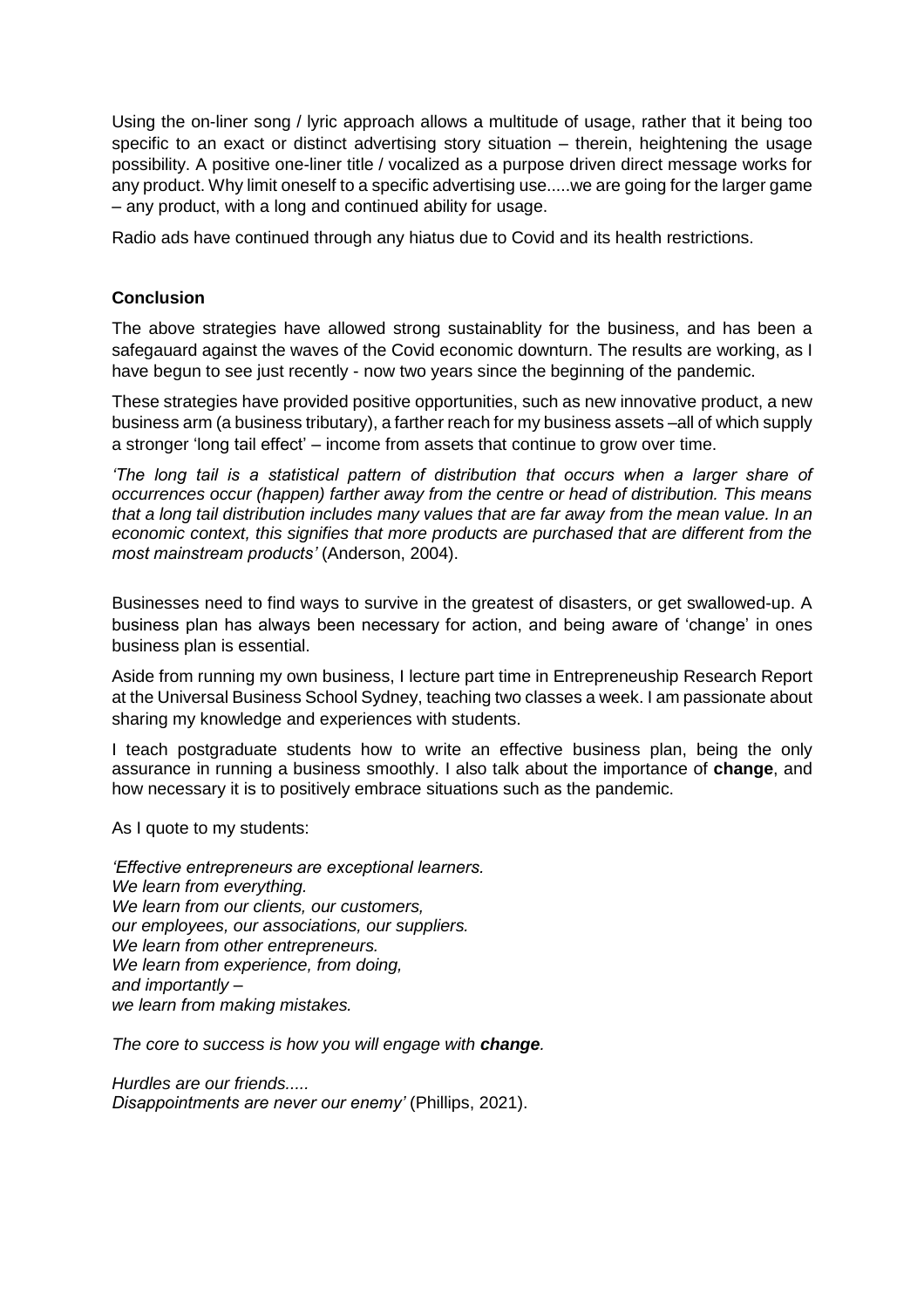Using the on-liner song / lyric approach allows a multitude of usage, rather that it being too specific to an exact or distinct advertising story situation – therein, heightening the usage possibility. A positive one-liner title / vocalized as a purpose driven direct message works for any product. Why limit oneself to a specific advertising use.....we are going for the larger game – any product, with a long and continued ability for usage.

Radio ads have continued through any hiatus due to Covid and its health restrictions.

### **Conclusion**

The above strategies have allowed strong sustainablity for the business, and has been a safegauard against the waves of the Covid economic downturn. The results are working, as I have begun to see just recently - now two years since the beginning of the pandemic.

These strategies have provided positive opportunities, such as new innovative product, a new business arm (a business tributary), a farther reach for my business assets –all of which supply a stronger 'long tail effect' – income from assets that continue to grow over time.

*'The long tail is a statistical pattern of distribution that occurs when a larger share of occurrences occur (happen) farther away from the centre or head of distribution. This means that a long tail distribution includes many values that are far away from the mean value. In an economic context, this signifies that more products are purchased that are different from the most mainstream products'* (Anderson, 2004).

Businesses need to find ways to survive in the greatest of disasters, or get swallowed-up. A business plan has always been necessary for action, and being aware of 'change' in ones business plan is essential.

Aside from running my own business, I lecture part time in Entrepreneuship Research Report at the Universal Business School Sydney, teaching two classes a week. I am passionate about sharing my knowledge and experiences with students.

I teach postgraduate students how to write an effective business plan, being the only assurance in running a business smoothly. I also talk about the importance of **change**, and how necessary it is to positively embrace situations such as the pandemic.

As I quote to my students:

*'Effective entrepreneurs are exceptional learners. We learn from everything. We learn from our clients, our customers, our employees, our associations, our suppliers. We learn from other entrepreneurs. We learn from experience, from doing, and importantly – we learn from making mistakes.* 

*The core to success is how you will engage with change.*

*Hurdles are our friends..... Disappointments are never our enemy'* (Phillips, 2021).